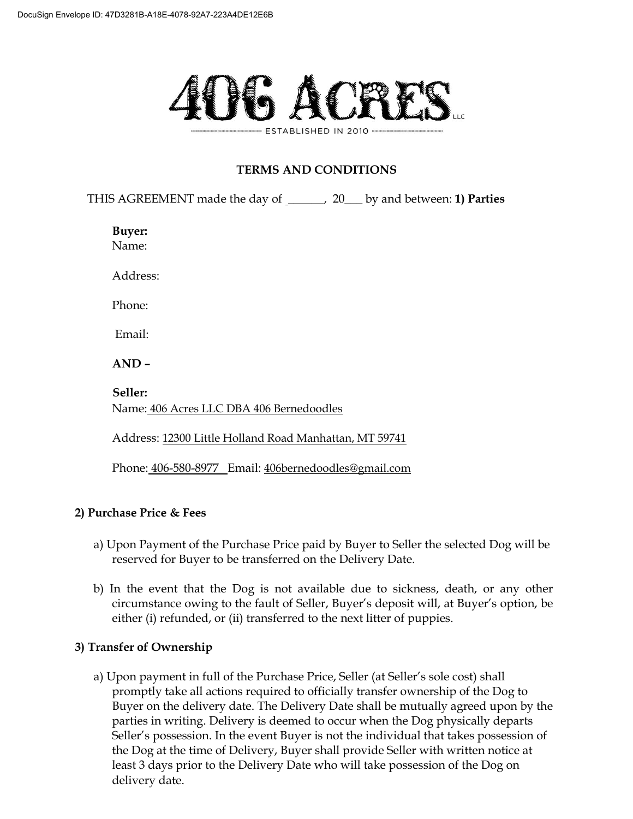

# **TERMS AND CONDITIONS**

THIS AGREEMENT made the day of \_\_\_\_\_\_, 20\_\_\_ by and between: **1) Parties** 

**Buyer:** 

Name:

Address:

Phone:

Email:

 $AND -$ 

**Seller:**  Name: 406 Acres LLC DBA 406 Bernedoodles

Address: 12300 Little Holland Road Manhattan, MT 59741

Phone: 406-580-8977 Email: 406bernedoodles@gmail.com

## **2) Purchase Price & Fees**

- a) Upon Payment of the Purchase Price paid by Buyer to Seller the selected Dog will be reserved for Buyer to be transferred on the Delivery Date.
- b) In the event that the Dog is not available due to sickness, death, or any other circumstance owing to the fault of Seller, Buyer's deposit will, at Buyer's option, be either (i) refunded, or (ii) transferred to the next litter of puppies.

## **3) Transfer of Ownership**

a) Upon payment in full of the Purchase Price, Seller (at Seller's sole cost) shall promptly take all actions required to officially transfer ownership of the Dog to Buyer on the delivery date. The Delivery Date shall be mutually agreed upon by the parties in writing. Delivery is deemed to occur when the Dog physically departs Seller's possession. In the event Buyer is not the individual that takes possession of the Dog at the time of Delivery, Buyer shall provide Seller with written notice at least 3 days prior to the Delivery Date who will take possession of the Dog on delivery date.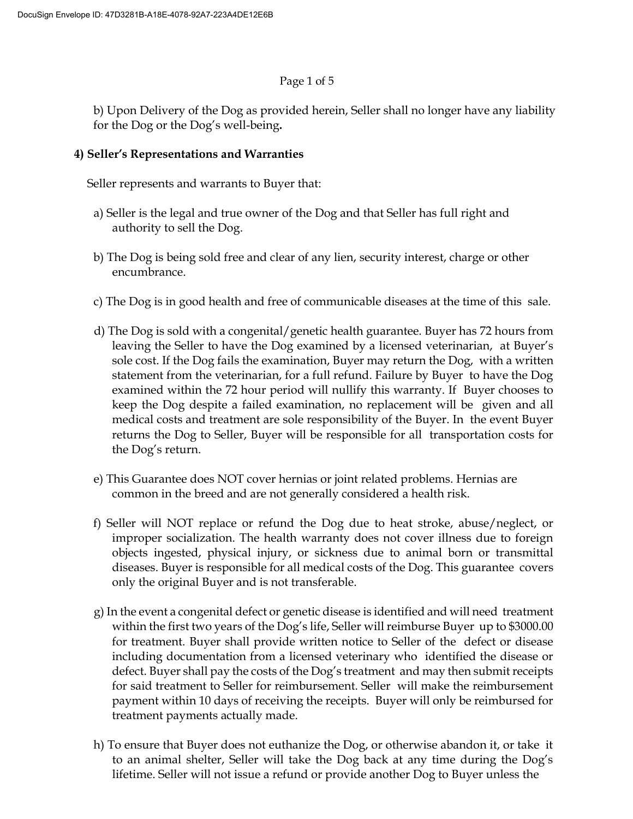#### Page 1 of 5

b) Upon Delivery of the Dog as provided herein, Seller shall no longer have any liability for the Dog or the Dog's well-being.

## 4) Seller's Representations and Warranties

Seller represents and warrants to Buyer that:

- a) Seller is the legal and true owner of the Dog and that Seller has full right and authority to sell the Dog.
- b) The Dog is being sold free and clear of any lien, security interest, charge or other encumbrance.
- c) The Dog is in good health and free of communicable diseases at the time of this sale.
- d) The Dog is sold with a congenital/genetic health guarantee. Buyer has 72 hours from leaving the Seller to have the Dog examined by a licensed veterinarian, at Buyer's sole cost. If the Dog fails the examination, Buyer may return the Dog, with a written statement from the veterinarian, for a full refund. Failure by Buyer to have the Dog examined within the 72 hour period will nullify this warranty. If Buyer chooses to keep the Dog despite a failed examination, no replacement will be given and all medical costs and treatment are sole responsibility of the Buyer. In the event Buyer returns the Dog to Seller, Buyer will be responsible for all transportation costs for the Dog's return.
- e) This Guarantee does NOT cover hernias or joint related problems. Hernias are common in the breed and are not generally considered a health risk.
- f) Seller will NOT replace or refund the Dog due to heat stroke, abuse/neglect, or improper socialization. The health warranty does not cover illness due to foreign objects ingested, physical injury, or sickness due to animal born or transmittal diseases. Buyer is responsible for all medical costs of the Dog. This guarantee covers only the original Buyer and is not transferable.
- g) In the event a congenital defect or genetic disease is identified and will need treatment within the first two years of the  $\log$ 's life, Seller will reimburse Buyer up to \$3000.00 for treatment. Buyer shall provide written notice to Seller of the defect or disease including documentation from a licensed veterinary who identified the disease or defect. Buyer shall pay the costs of the Dog's treatment and may then submit receipts for said treatment to Seller for reimbursement. Seller will make the reimbursement payment within 10 days of receiving the receipts. Buyer will only be reimbursed for treatment payments actually made.
- h) To ensure that Buyer does not euthanize the Dog, or otherwise abandon it, or take it to an animal shelter, Seller will take the Dog back at any time during the Dog's lifetime. Seller will not issue a refund or provide another Dog to Buyer unless the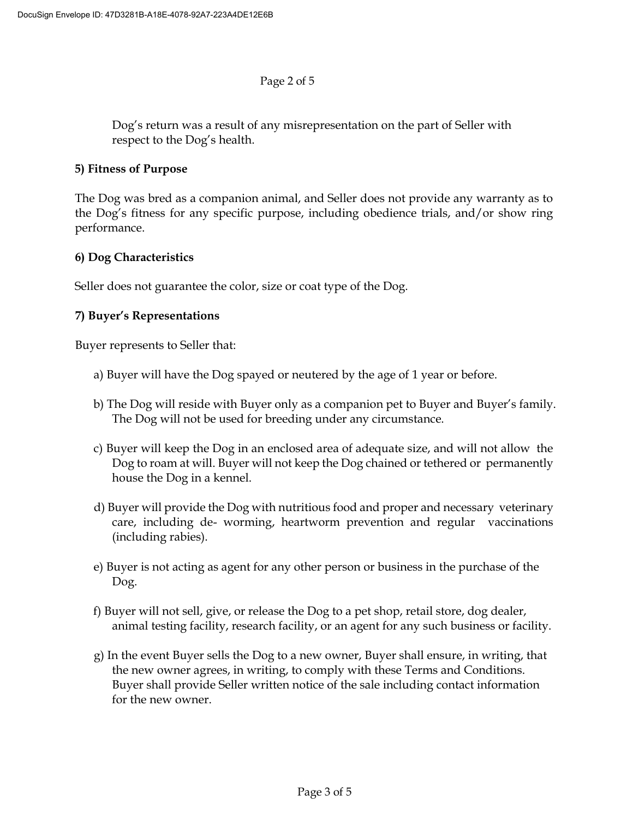#### Page 2 of 5

Dog's return was a result of any misrepresentation on the part of Seller with respect to the Dog's health.

#### **5) Fitness of Purpose**

The Dog was bred as a companion animal, and Seller does not provide any warranty as to the Dog's fitness for any specific purpose, including obedience trials, and/or show ring performance.

### **6) Dog Characteristics**

Seller does not guarantee the color, size or coat type of the Dog.

### **7) Buyer's Representations**

Buyer represents to Seller that:

- a) Buyer will have the Dog spayed or neutered by the age of 1 year or before.
- b) The Dog will reside with Buyer only as a companion pet to Buyer and Buyer's family. The Dog will not be used for breeding under any circumstance.
- c) Buyer will keep the Dog in an enclosed area of adequate size, and will not allow the Dog to roam at will. Buyer will not keep the Dog chained or tethered or permanently house the Dog in a kennel.
- d) Buyer will provide the Dog with nutritious food and proper and necessary veterinary care, including de- worming, heartworm prevention and regular vaccinations (including rabies).
- e) Buyer is not acting as agent for any other person or business in the purchase of the Dog.
- f) Buyer will not sell, give, or release the Dog to a pet shop, retail store, dog dealer, animal testing facility, research facility, or an agent for any such business or facility.
- g) In the event Buyer sells the Dog to a new owner, Buyer shall ensure, in writing, that the new owner agrees, in writing, to comply with these Terms and Conditions. Buyer shall provide Seller written notice of the sale including contact information for the new owner.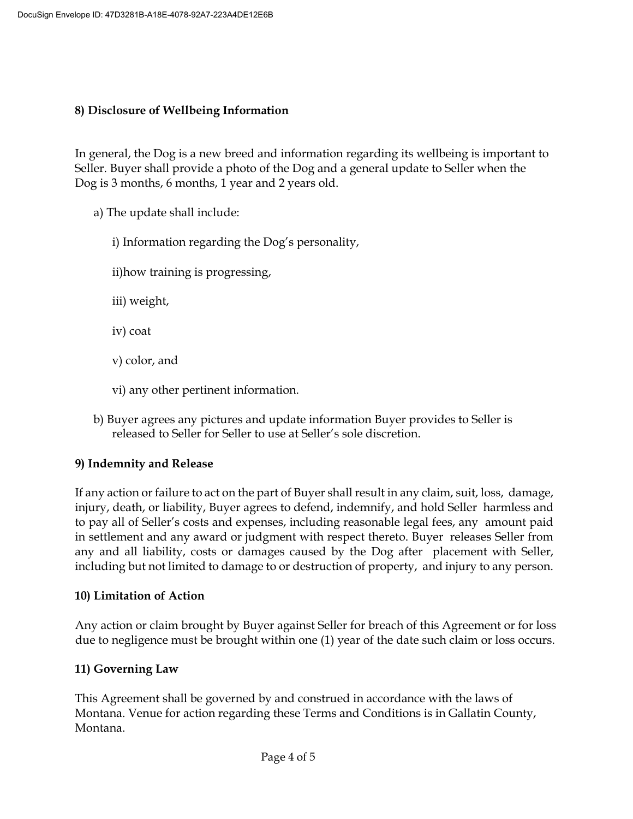## **8) Disclosure of Wellbeing Information**

In general, the Dog is a new breed and information regarding its wellbeing is important to Seller. Buyer shall provide a photo of the Dog and a general update to Seller when the Dog is 3 months, 6 months, 1 year and 2 years old.

- a) The update shall include:
	- i) Information regarding the Dog's personality,
	- ii)how training is progressing,
	- iii) weight,
	- iv) coat
	- v) color, and
	- vi) any other pertinent information.
- b) Buyer agrees any pictures and update information Buyer provides to Seller is released to Seller for Seller to use at Seller's sole discretion.

## **9) Indemnity and Release**

If any action or failure to act on the part of Buyer shall result in any claim, suit, loss, damage, injury, death, or liability, Buyer agrees to defend, indemnify, and hold Seller harmless and to pay all of Seller's costs and expenses, including reasonable legal fees, any amount paid in settlement and any award or judgment with respect thereto. Buyer releases Seller from any and all liability, costs or damages caused by the Dog after placement with Seller, including but not limited to damage to or destruction of property, and injury to any person.

## **10) Limitation of Action**

Any action or claim brought by Buyer against Seller for breach of this Agreement or for loss due to negligence must be brought within one (1) year of the date such claim or loss occurs.

## **11) Governing Law**

This Agreement shall be governed by and construed in accordance with the laws of Montana. Venue for action regarding these Terms and Conditions is in Gallatin County, Montana.